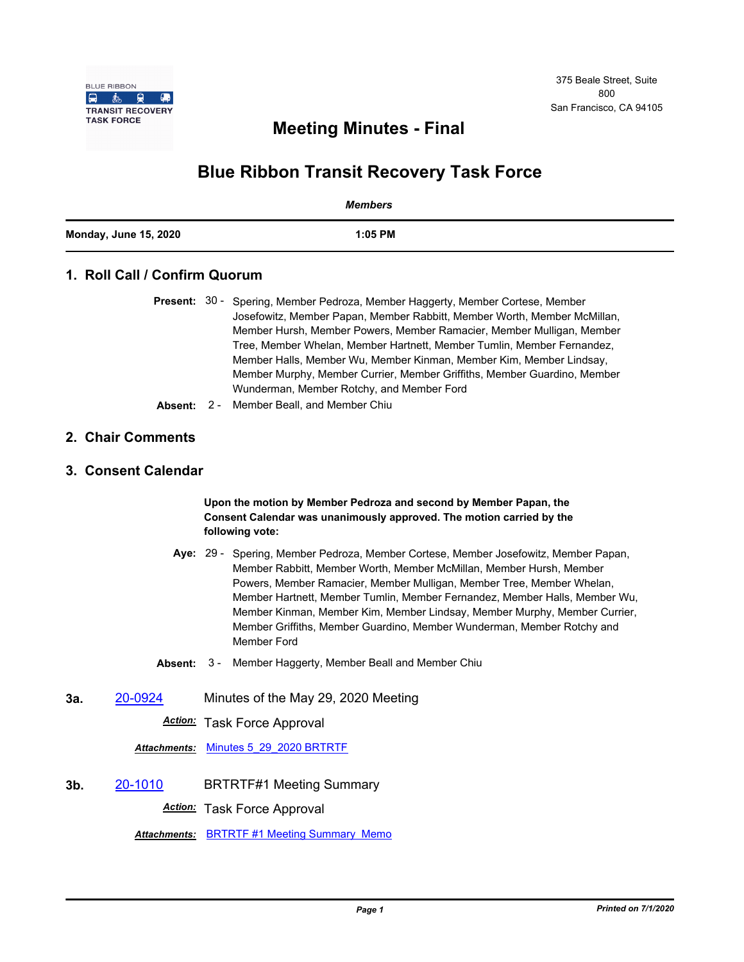

## **Meeting Minutes - Final**

# **Blue Ribbon Transit Recovery Task Force**

|                              | Members   |
|------------------------------|-----------|
| <b>Monday, June 15, 2020</b> | $1:05$ PM |

## **1. Roll Call / Confirm Quorum**

- Present: 30 Spering, Member Pedroza, Member Haggerty, Member Cortese, Member Josefowitz, Member Papan, Member Rabbitt, Member Worth, Member McMillan, Member Hursh, Member Powers, Member Ramacier, Member Mulligan, Member Tree, Member Whelan, Member Hartnett, Member Tumlin, Member Fernandez, Member Halls, Member Wu, Member Kinman, Member Kim, Member Lindsay, Member Murphy, Member Currier, Member Griffiths, Member Guardino, Member Wunderman, Member Rotchy, and Member Ford
- **Absent:** 2 Member Beall, and Member Chiu

#### **2. Chair Comments**

## **3. Consent Calendar**

#### **Upon the motion by Member Pedroza and second by Member Papan, the Consent Calendar was unanimously approved. The motion carried by the following vote:**

- Aye: 29 Spering, Member Pedroza, Member Cortese, Member Josefowitz, Member Papan, Member Rabbitt, Member Worth, Member McMillan, Member Hursh, Member Powers, Member Ramacier, Member Mulligan, Member Tree, Member Whelan, Member Hartnett, Member Tumlin, Member Fernandez, Member Halls, Member Wu, Member Kinman, Member Kim, Member Lindsay, Member Murphy, Member Currier, Member Griffiths, Member Guardino, Member Wunderman, Member Rotchy and Member Ford
- **Absent:** 3 Member Haggerty, Member Beall and Member Chiu
- **3a.** [20-0924](http://mtc.legistar.com/gateway.aspx?m=l&id=/matter.aspx?key=20788) Minutes of the May 29, 2020 Meeting

*Action:* Task Force Approval

*Attachments:* [Minutes 5\\_29\\_2020 BRTRTF](http://mtc.legistar.com/gateway.aspx?M=F&ID=ffe4af8d-cd08-4ca5-9ee2-ee56a6fb3710.pdf)

**3b.** [20-1010](http://mtc.legistar.com/gateway.aspx?m=l&id=/matter.aspx?key=20874) BRTRTF#1 Meeting Summary *Action:* Task Force Approval

*Attachments:* [BRTRTF #1 Meeting Summary Memo](http://mtc.legistar.com/gateway.aspx?M=F&ID=d672e57e-b4d5-41ec-90ec-ccefe44dab48.pdf)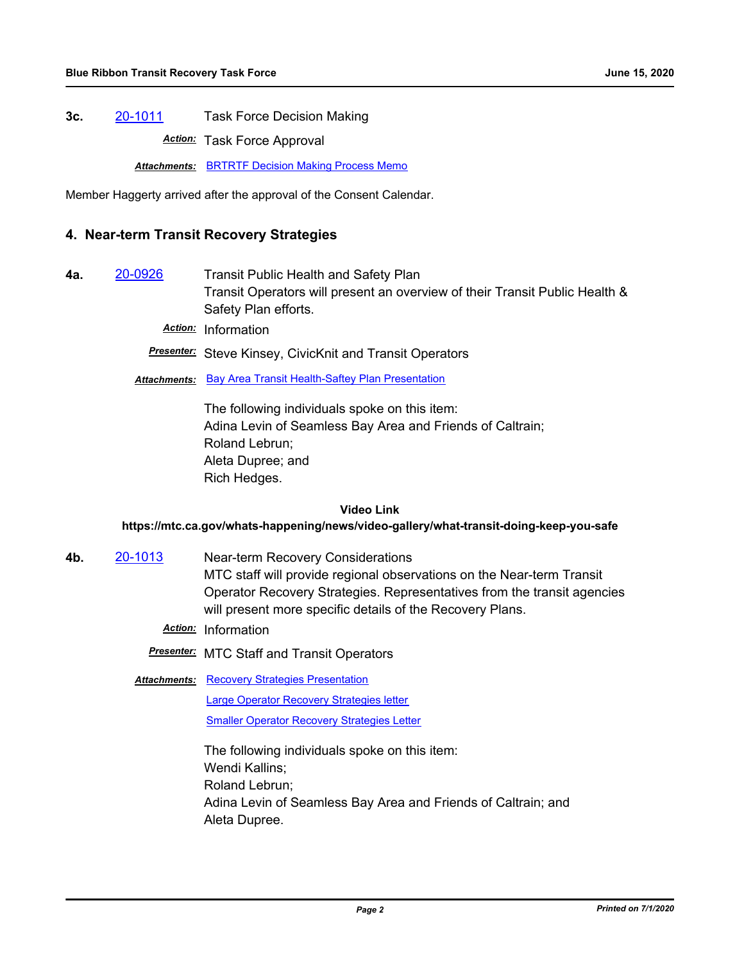**3c.** [20-1011](http://mtc.legistar.com/gateway.aspx?m=l&id=/matter.aspx?key=20875) Task Force Decision Making

*Action:* Task Force Approval

**Attachments: [BRTRTF Decision Making Process Memo](http://mtc.legistar.com/gateway.aspx?M=F&ID=73ec72f6-93ab-4582-9340-f154810b8d5f.pdf)** 

Member Haggerty arrived after the approval of the Consent Calendar.

## **4. Near-term Transit Recovery Strategies**

**4a.** [20-0926](http://mtc.legistar.com/gateway.aspx?m=l&id=/matter.aspx?key=20790) Transit Public Health and Safety Plan Transit Operators will present an overview of their Transit Public Health & Safety Plan efforts.

*Action:* Information

*Presenter:* Steve Kinsey, CivicKnit and Transit Operators

*Attachments:* [Bay Area Transit Health-Saftey Plan Presentation](http://mtc.legistar.com/gateway.aspx?M=F&ID=6b047106-a771-484f-81e9-99aabcfd7a0e.pdf)

The following individuals spoke on this item: Adina Levin of Seamless Bay Area and Friends of Caltrain; Roland Lebrun; Aleta Dupree; and Rich Hedges.

#### **Video Link**

#### **https://mtc.ca.gov/whats-happening/news/video-gallery/what-transit-doing-keep-you-safe**

- **4b.** [20-1013](http://mtc.legistar.com/gateway.aspx?m=l&id=/matter.aspx?key=20877) Near-term Recovery Considerations MTC staff will provide regional observations on the Near-term Transit Operator Recovery Strategies. Representatives from the transit agencies will present more specific details of the Recovery Plans.
	- *Action:* Information
	- *Presenter:* MTC Staff and Transit Operators
	- **Attachments: [Recovery Strategies Presentation](http://mtc.legistar.com/gateway.aspx?M=F&ID=7fbd335c-b8ae-4758-967f-169a7191a808.pdf)**

[Large Operator Recovery Strategies letter](http://mtc.legistar.com/gateway.aspx?M=F&ID=b9999192-b395-483b-b79d-0e5641eceea0.pdf) [Smaller Operator Recovery Strategies Letter](http://mtc.legistar.com/gateway.aspx?M=F&ID=2f68d99e-4c25-469c-a787-82f76aca8648.pdf)

The following individuals spoke on this item: Wendi Kallins; Roland Lebrun; Adina Levin of Seamless Bay Area and Friends of Caltrain; and Aleta Dupree.